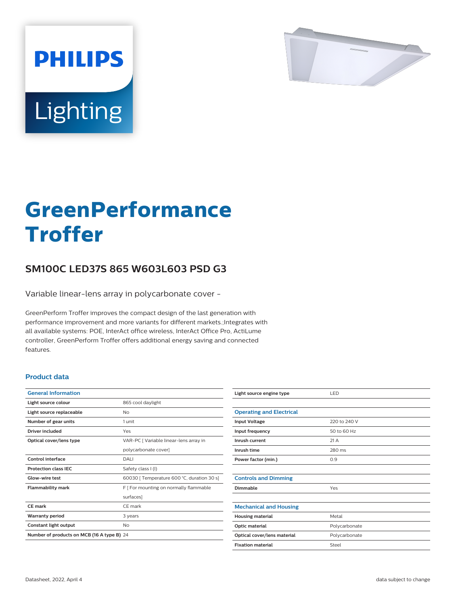

# Lighting

**PHILIPS** 

# **GreenPerformance Troffer**

## **SM100C LED37S 865 W603L603 PSD G3**

Variable linear-lens array in polycarbonate cover -

GreenPerform Troffer improves the compact design of the last generation with performance improvement and more variants for different markets.;Integrates with all available systems: POE, InterAct office wireless, InterAct Office Pro, ActiLume controller, GreenPerform Troffer offers additional energy saving and connected features.

#### **Product data**

| <b>General Information</b>                 |                                            |  |
|--------------------------------------------|--------------------------------------------|--|
| Light source colour                        | 865 cool daylight                          |  |
| Light source replaceable                   | <b>No</b>                                  |  |
| Number of gear units                       | 1 unit                                     |  |
| Driver included                            | Yes                                        |  |
| Optical cover/lens type                    | VAR-PC [ Variable linear-lens array in     |  |
|                                            | polycarbonate cover]                       |  |
| Control interface                          | DALI                                       |  |
| <b>Protection class IEC</b>                | Safety class I (I)                         |  |
| Glow-wire test                             | 60030   Temperature 600 °C, duration 30 s] |  |
| <b>Flammability mark</b>                   | F [ For mounting on normally flammable     |  |
|                                            | surfaces]                                  |  |
| CF mark                                    | CF mark                                    |  |
| <b>Warranty period</b>                     | 3 years                                    |  |
| Constant light output                      | No                                         |  |
| Number of products on MCB (16 A type B) 24 |                                            |  |

| Light source engine type        | LED           |
|---------------------------------|---------------|
|                                 |               |
| <b>Operating and Electrical</b> |               |
| <b>Input Voltage</b>            | 220 to 240 V  |
| Input frequency                 | 50 to 60 Hz   |
| Inrush current                  | 21 A          |
| Inrush time                     | 280 ms        |
| Power factor (min.)             | 0.9           |
|                                 |               |
| <b>Controls and Dimming</b>     |               |
| Dimmable                        | Yes           |
|                                 |               |
| <b>Mechanical and Housing</b>   |               |
| <b>Housing material</b>         | Metal         |
| Optic material                  | Polycarbonate |
| Optical cover/lens material     | Polycarbonate |
| <b>Fixation material</b>        | Steel         |
|                                 |               |